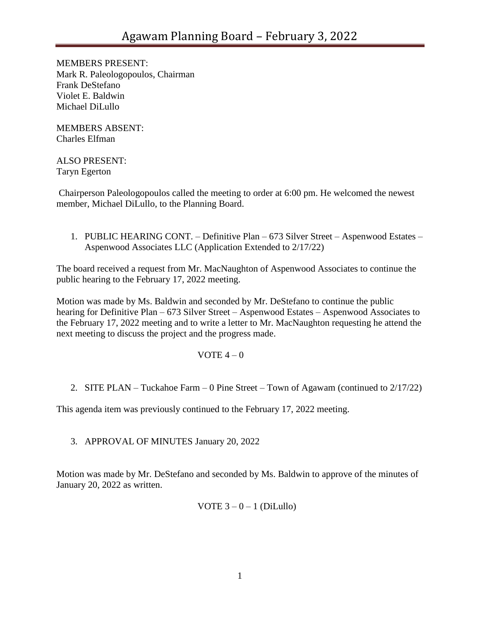MEMBERS PRESENT: Mark R. Paleologopoulos, Chairman Frank DeStefano Violet E. Baldwin Michael DiLullo

MEMBERS ABSENT: Charles Elfman

## ALSO PRESENT: Taryn Egerton

Chairperson Paleologopoulos called the meeting to order at 6:00 pm. He welcomed the newest member, Michael DiLullo, to the Planning Board.

1. PUBLIC HEARING CONT. – Definitive Plan – 673 Silver Street – Aspenwood Estates – Aspenwood Associates LLC (Application Extended to 2/17/22)

The board received a request from Mr. MacNaughton of Aspenwood Associates to continue the public hearing to the February 17, 2022 meeting.

Motion was made by Ms. Baldwin and seconded by Mr. DeStefano to continue the public hearing for Definitive Plan – 673 Silver Street – Aspenwood Estates – Aspenwood Associates to the February 17, 2022 meeting and to write a letter to Mr. MacNaughton requesting he attend the next meeting to discuss the project and the progress made.

## VOTE  $4-0$

2. SITE PLAN – Tuckahoe Farm – 0 Pine Street – Town of Agawam (continued to 2/17/22)

This agenda item was previously continued to the February 17, 2022 meeting.

3. APPROVAL OF MINUTES January 20, 2022

Motion was made by Mr. DeStefano and seconded by Ms. Baldwin to approve of the minutes of January 20, 2022 as written.

VOTE  $3 - 0 - 1$  (DiLullo)